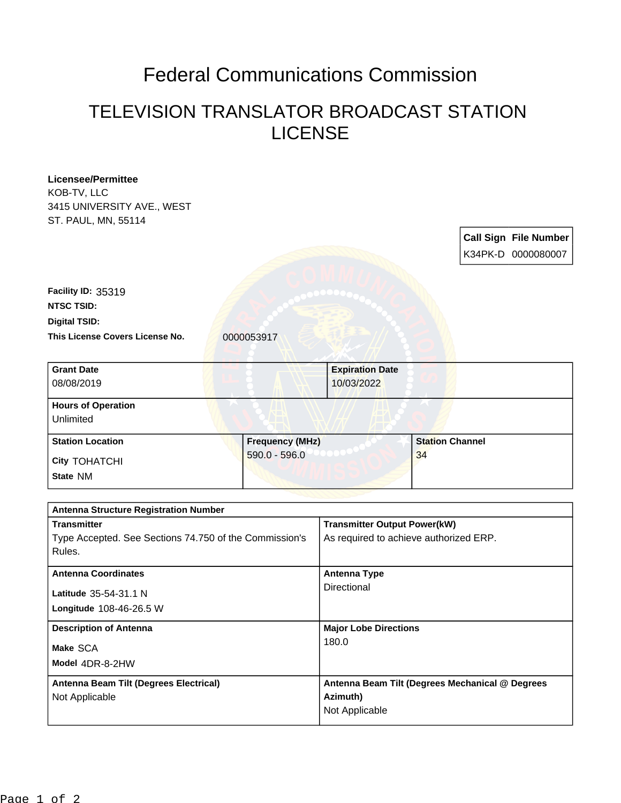## Federal Communications Commission

## TELEVISION TRANSLATOR BROADCAST STATION LICENSE

| Licensee/Permittee                                     |  |                        |                                                 |                        |  |                              |
|--------------------------------------------------------|--|------------------------|-------------------------------------------------|------------------------|--|------------------------------|
| KOB-TV, LLC                                            |  |                        |                                                 |                        |  |                              |
| 3415 UNIVERSITY AVE., WEST                             |  |                        |                                                 |                        |  |                              |
| ST. PAUL, MN, 55114                                    |  |                        |                                                 |                        |  |                              |
|                                                        |  |                        |                                                 |                        |  | <b>Call Sign File Number</b> |
|                                                        |  |                        |                                                 |                        |  |                              |
|                                                        |  |                        |                                                 |                        |  | K34PK-D 0000080007           |
|                                                        |  |                        |                                                 |                        |  |                              |
| Facility ID: 35319                                     |  |                        |                                                 |                        |  |                              |
| <b>NTSC TSID:</b>                                      |  |                        |                                                 |                        |  |                              |
| <b>Digital TSID:</b>                                   |  |                        |                                                 |                        |  |                              |
| This License Covers License No.                        |  | 0000053917             |                                                 |                        |  |                              |
|                                                        |  |                        |                                                 |                        |  |                              |
| <b>Grant Date</b>                                      |  |                        | <b>Expiration Date</b>                          |                        |  |                              |
| 08/08/2019                                             |  |                        | 10/03/2022                                      |                        |  |                              |
|                                                        |  |                        |                                                 |                        |  |                              |
| <b>Hours of Operation</b>                              |  |                        |                                                 |                        |  |                              |
| Unlimited                                              |  |                        |                                                 |                        |  |                              |
| <b>Station Location</b>                                |  | <b>Frequency (MHz)</b> |                                                 | <b>Station Channel</b> |  |                              |
|                                                        |  | $590.0 - 596.0$        | 34                                              |                        |  |                              |
| <b>City TOHATCHI</b>                                   |  |                        |                                                 |                        |  |                              |
| State NM                                               |  |                        |                                                 |                        |  |                              |
|                                                        |  |                        |                                                 |                        |  |                              |
| <b>Antenna Structure Registration Number</b>           |  |                        |                                                 |                        |  |                              |
| <b>Transmitter</b>                                     |  |                        | <b>Transmitter Output Power(kW)</b>             |                        |  |                              |
| Type Accepted. See Sections 74.750 of the Commission's |  |                        | As required to achieve authorized ERP.          |                        |  |                              |
| Rules.                                                 |  |                        |                                                 |                        |  |                              |
|                                                        |  |                        |                                                 |                        |  |                              |
| <b>Antenna Coordinates</b>                             |  |                        | <b>Antenna Type</b><br>Directional              |                        |  |                              |
| Latitude 35-54-31.1 N                                  |  |                        |                                                 |                        |  |                              |
| Longitude 108-46-26.5 W                                |  |                        |                                                 |                        |  |                              |
| <b>Description of Antenna</b>                          |  |                        | <b>Major Lobe Directions</b>                    |                        |  |                              |
|                                                        |  |                        | 180.0                                           |                        |  |                              |
| Make SCA                                               |  |                        |                                                 |                        |  |                              |
| Model 4DR-8-2HW                                        |  |                        |                                                 |                        |  |                              |
| Antenna Beam Tilt (Degrees Electrical)                 |  |                        | Antenna Beam Tilt (Degrees Mechanical @ Degrees |                        |  |                              |
| Not Applicable                                         |  |                        | Azimuth)                                        |                        |  |                              |
|                                                        |  |                        | Not Applicable                                  |                        |  |                              |
|                                                        |  |                        |                                                 |                        |  |                              |